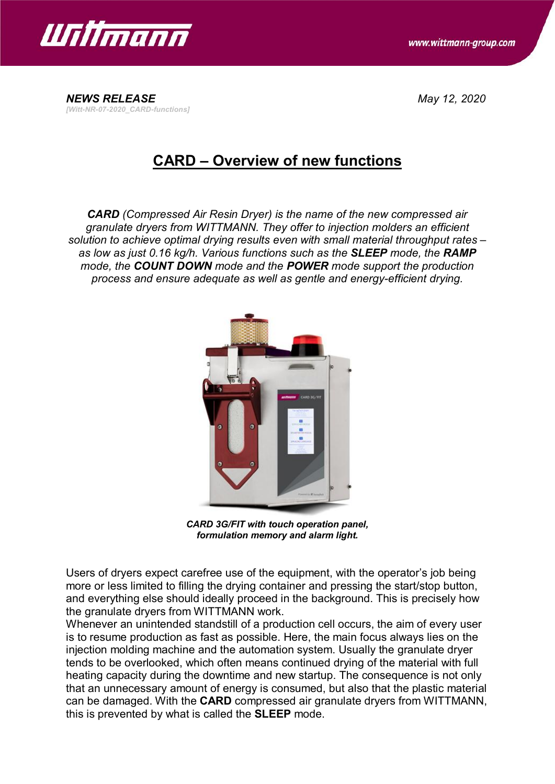

*[Witt-NR-07-2020\_CARD-functions]*

*NEWS RELEASE May 12, 2020*

## **CARD – Overview of new functions**

*CARD (Compressed Air Resin Dryer) is the name of the new compressed air granulate dryers from WITTMANN. They offer to injection molders an efficient solution to achieve optimal drying results even with small material throughput rates – as low as just 0.16 kg/h. Various functions such as the SLEEP mode, the RAMP mode, the COUNT DOWN mode and the POWER mode support the production process and ensure adequate as well as gentle and energy-efficient drying.*



*CARD 3G/FIT with touch operation panel, formulation memory and alarm light.*

Users of dryers expect carefree use of the equipment, with the operator's job being more or less limited to filling the drying container and pressing the start/stop button, and everything else should ideally proceed in the background. This is precisely how the granulate dryers from WITTMANN work.

Whenever an unintended standstill of a production cell occurs, the aim of every user is to resume production as fast as possible. Here, the main focus always lies on the injection molding machine and the automation system. Usually the granulate dryer tends to be overlooked, which often means continued drying of the material with full heating capacity during the downtime and new startup. The consequence is not only that an unnecessary amount of energy is consumed, but also that the plastic material can be damaged. With the **CARD** compressed air granulate dryers from WITTMANN, this is prevented by what is called the **SLEEP** mode.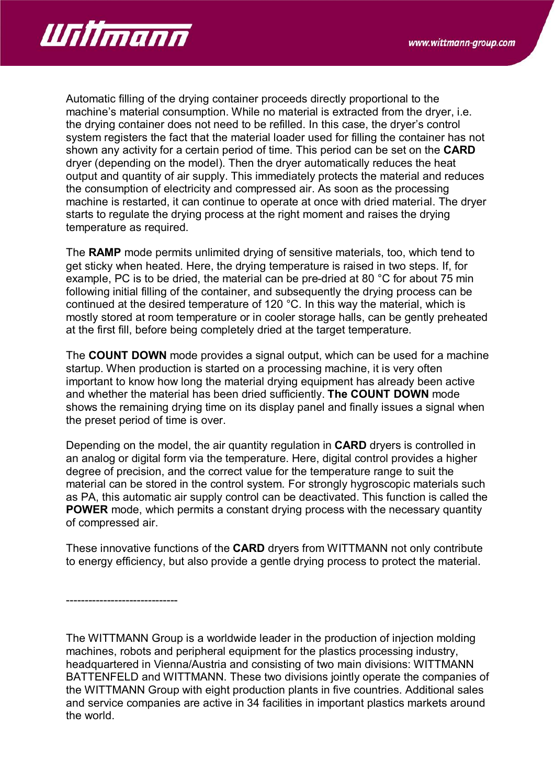

Automatic filling of the drying container proceeds directly proportional to the machine's material consumption. While no material is extracted from the dryer, i.e. the drying container does not need to be refilled. In this case, the dryer's control system registers the fact that the material loader used for filling the container has not shown any activity for a certain period of time. This period can be set on the **CARD** dryer (depending on the model). Then the dryer automatically reduces the heat output and quantity of air supply. This immediately protects the material and reduces the consumption of electricity and compressed air. As soon as the processing machine is restarted, it can continue to operate at once with dried material. The dryer starts to regulate the drying process at the right moment and raises the drying temperature as required.

The **RAMP** mode permits unlimited drying of sensitive materials, too, which tend to get sticky when heated. Here, the drying temperature is raised in two steps. If, for example, PC is to be dried, the material can be pre-dried at 80 °C for about 75 min following initial filling of the container, and subsequently the drying process can be continued at the desired temperature of 120 °C. In this way the material, which is mostly stored at room temperature or in cooler storage halls, can be gently preheated at the first fill, before being completely dried at the target temperature.

The **COUNT DOWN** mode provides a signal output, which can be used for a machine startup. When production is started on a processing machine, it is very often important to know how long the material drying equipment has already been active and whether the material has been dried sufficiently. **The COUNT DOWN** mode shows the remaining drying time on its display panel and finally issues a signal when the preset period of time is over.

Depending on the model, the air quantity regulation in **CARD** dryers is controlled in an analog or digital form via the temperature. Here, digital control provides a higher degree of precision, and the correct value for the temperature range to suit the material can be stored in the control system. For strongly hygroscopic materials such as PA, this automatic air supply control can be deactivated. This function is called the **POWER** mode, which permits a constant drying process with the necessary quantity of compressed air.

These innovative functions of the **CARD** dryers from WITTMANN not only contribute to energy efficiency, but also provide a gentle drying process to protect the material.

------------------------------

The WITTMANN Group is a worldwide leader in the production of injection molding machines, robots and peripheral equipment for the plastics processing industry, headquartered in Vienna/Austria and consisting of two main divisions: WITTMANN BATTENFELD and WITTMANN. These two divisions jointly operate the companies of the WITTMANN Group with eight production plants in five countries. Additional sales and service companies are active in 34 facilities in important plastics markets around the world.